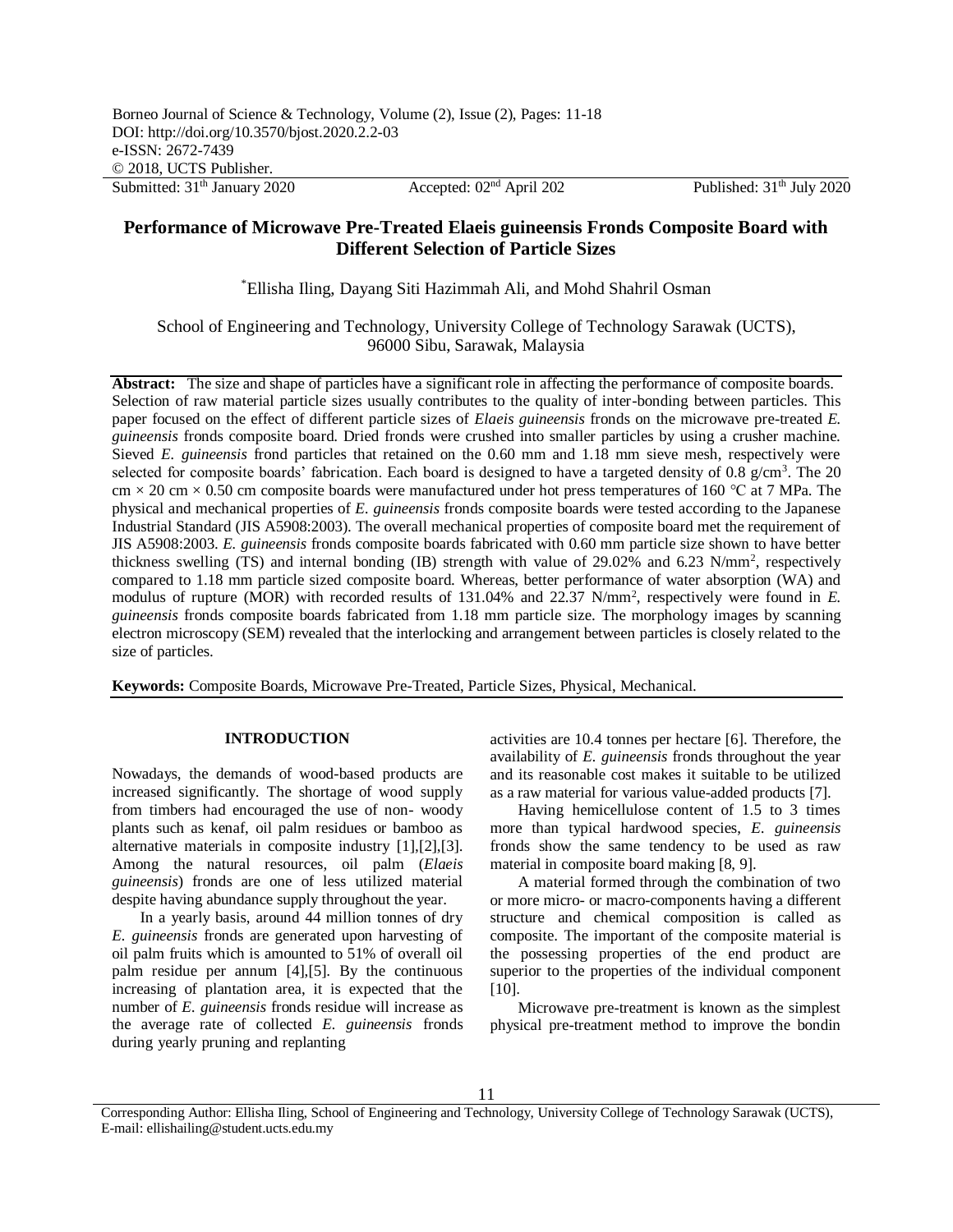Published: 31<sup>th</sup> July 2020

# **Performance of Microwave Pre-Treated Elaeis guineensis Fronds Composite Board with Different Selection of Particle Sizes**

\*Ellisha Iling, Dayang Siti Hazimmah Ali, and Mohd Shahril Osman

School of Engineering and Technology, University College of Technology Sarawak (UCTS), 96000 Sibu, Sarawak, Malaysia

**Abstract:** The size and shape of particles have a significant role in affecting the performance of composite boards. Selection of raw material particle sizes usually contributes to the quality of inter-bonding between particles. This paper focused on the effect of different particle sizes of *Elaeis guineensis* fronds on the microwave pre-treated *E. guineensis* fronds composite board. Dried fronds were crushed into smaller particles by using a crusher machine. Sieved *E. guineensis* frond particles that retained on the 0.60 mm and 1.18 mm sieve mesh, respectively were selected for composite boards' fabrication. Each board is designed to have a targeted density of 0.8  $g/cm<sup>3</sup>$ . The 20 cm  $\times$  20 cm  $\times$  0.50 cm composite boards were manufactured under hot press temperatures of 160 °C at 7 MPa. The physical and mechanical properties of *E. guineensis* fronds composite boards were tested according to the Japanese Industrial Standard (JIS A5908:2003). The overall mechanical properties of composite board met the requirement of JIS A5908:2003. *E. guineensis* fronds composite boards fabricated with 0.60 mm particle size shown to have better thickness swelling (TS) and internal bonding (IB) strength with value of 29.02% and 6.23 N/mm<sup>2</sup>, respectively compared to 1.18 mm particle sized composite board. Whereas, better performance of water absorption (WA) and modulus of rupture (MOR) with recorded results of 131.04% and 22.37 N/mm<sup>2</sup> , respectively were found in *E. guineensis* fronds composite boards fabricated from 1.18 mm particle size. The morphology images by scanning electron microscopy (SEM) revealed that the interlocking and arrangement between particles is closely related to the size of particles.

**Keywords:** Composite Boards, Microwave Pre-Treated, Particle Sizes, Physical, Mechanical.

#### **INTRODUCTION**

Nowadays, the demands of wood-based products are increased significantly. The shortage of wood supply from timbers had encouraged the use of non- woody plants such as kenaf, oil palm residues or bamboo as alternative materials in composite industry [\[1\],\[2\],\[3\]](#page-6-0). Among the natural resources, oil palm (*Elaeis guineensis*) fronds are one of less utilized material despite having abundance supply throughout the year.

In a yearly basis, around 44 million tonnes of dry *E. guineensis* fronds are generated upon harvesting of oil palm fruits which is amounted to 51% of overall oil palm residue per annum [4],[5]. By the continuous increasing of plantation area, it is expected that the number of *E. guineensis* fronds residue will increase as the average rate of collected *E. guineensis* fronds during yearly pruning and replanting

activities are 10.4 tonnes per hectare [6]. Therefore, the availability of *E. guineensis* fronds throughout the year and its reasonable cost makes it suitable to be utilized as a raw material for various value-added products [\[7\]](#page-7-0).

Having hemicellulose content of 1.5 to 3 times more than typical hardwood species, *E. guineensis*  fronds show the same tendency to be used as raw material in composite board making [8, [9\]](#page-7-1).

A material formed through the combination of two or more micro- or macro-components having a different structure and chemical composition is called as composite. The important of the composite material is the possessing properties of the end product are superior to the properties of the individual component [\[10\]](#page-6-1).

Microwave pre-treatment is known as the simplest physical pre-treatment method to improve the bondin

11

Corresponding Author: Ellisha Iling, School of Engineering and Technology, University College of Technology Sarawak (UCTS), E-mail: ellishailing@student.ucts.edu.my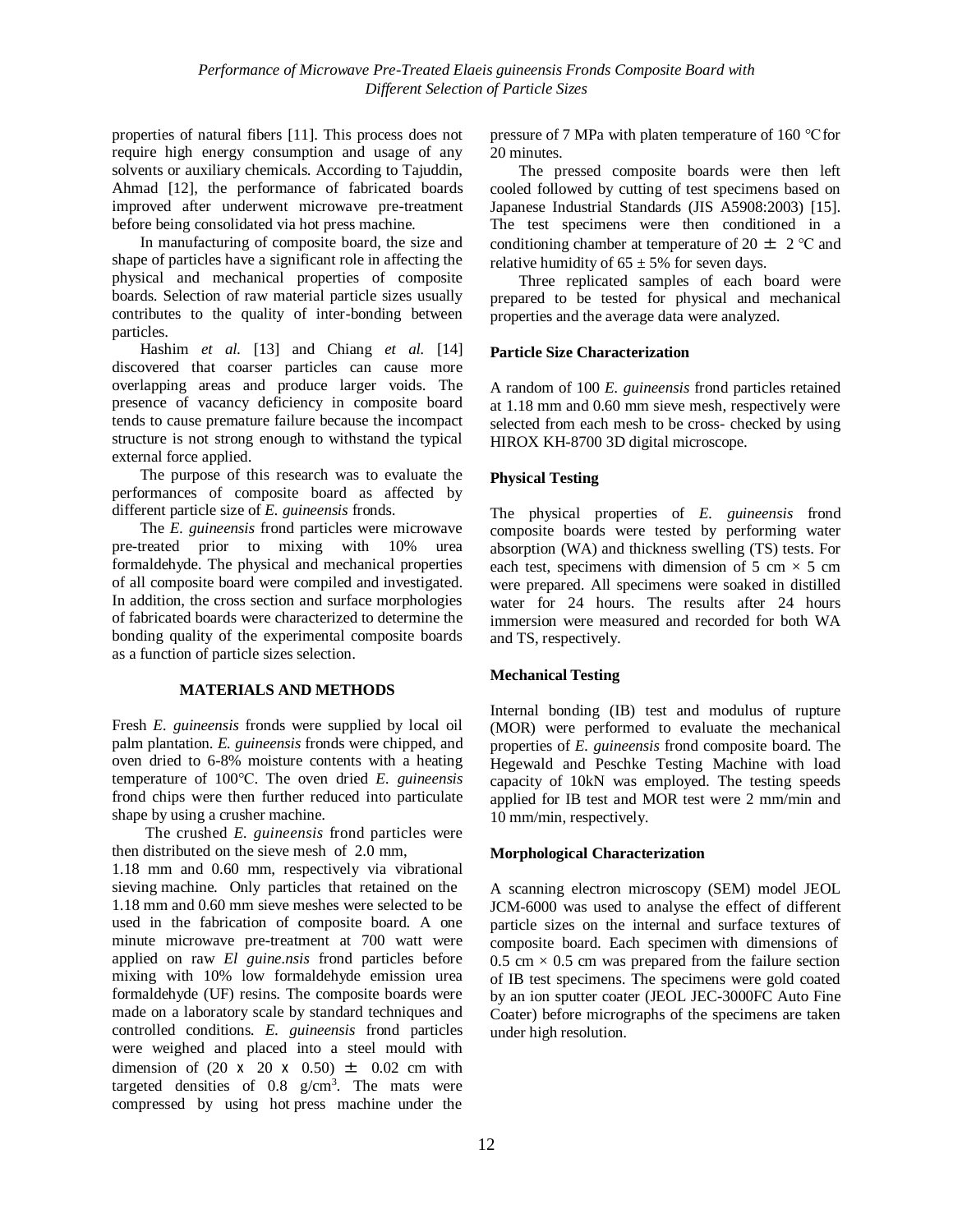properties of natural fibers [\[11\]](#page-7-0). This process does not require high energy consumption and usage of any solvents or auxiliary chemicals. According to Tajuddin, Ahmad [12], the performance of fabricated boards improved after underwent microwave pre-treatment before being consolidated via hot press machine.

In manufacturing of composite board, the size and shape of particles have a significant role in affecting the physical and mechanical properties of composite boards. Selection of raw material particle sizes usually contributes to the quality of inter-bonding between particles.

Hashim *et al.* [13] and Chiang *et al.* [14] discovered that coarser particles can cause more overlapping areas and produce larger voids. The presence of vacancy deficiency in composite board tends to cause premature failure because the incompact structure is not strong enough to withstand the typical external force applied.

The purpose of this research was to evaluate the performances of composite board as affected by different particle size of *E. guineensis* fronds.

The *E. guineensis* frond particles were microwave pre-treated prior to mixing with 10% urea formaldehyde. The physical and mechanical properties of all composite board were compiled and investigated. In addition, the cross section and surface morphologies of fabricated boards were characterized to determine the bonding quality of the experimental composite boards as a function of particle sizes selection.

# **MATERIALS AND METHODS**

Fresh *E. guineensis* fronds were supplied by local oil palm plantation. *E. guineensis* fronds were chipped, and oven dried to 6-8% moisture contents with a heating temperature of 100℃. The oven dried *E. guineensis*  frond chips were then further reduced into particulate shape by using a crusher machine.

The crushed *E. guineensis* frond particles were then distributed on the sieve mesh of 2.0 mm,

1.18 mm and 0.60 mm, respectively via vibrational sieving machine. Only particles that retained on the 1.18 mm and 0.60 mm sieve meshes were selected to be used in the fabrication of composite board. A one minute microwave pre-treatment at 700 watt were applied on raw *El guine.nsis* frond particles before mixing with 10% low formaldehyde emission urea formaldehyde (UF) resins. The composite boards were made on a laboratory scale by standard techniques and controlled conditions. *E. guineensis* frond particles were weighed and placed into a steel mould with dimension of (20 x 20 x 0.50)  $\pm$  0.02 cm with targeted densities of  $0.8$  g/cm<sup>3</sup>. The mats were compressed by using hot press machine under the

pressure of 7 MPa with platen temperature of 160 ℃for 20 minutes.

The pressed composite boards were then left cooled followed by cutting of test specimens based on Japanese Industrial Standards (JIS A5908:2003) [15]. The test specimens were then conditioned in a conditioning chamber at temperature of 20  $\pm$  2 °C and relative humidity of  $65 \pm 5\%$  for seven days.

Three replicated samples of each board were prepared to be tested for physical and mechanical properties and the average data were analyzed.

# **Particle Size Characterization**

A random of 100 *E. guineensis* frond particles retained at 1.18 mm and 0.60 mm sieve mesh, respectively were selected from each mesh to be cross- checked by using HIROX KH-8700 3D digital microscope.

# **Physical Testing**

The physical properties of *E. guineensis* frond composite boards were tested by performing water absorption (WA) and thickness swelling (TS) tests. For each test, specimens with dimension of 5 cm  $\times$  5 cm were prepared. All specimens were soaked in distilled water for 24 hours. The results after 24 hours immersion were measured and recorded for both WA and TS, respectively.

# **Mechanical Testing**

Internal bonding (IB) test and modulus of rupture (MOR) were performed to evaluate the mechanical properties of *E. guineensis* frond composite board. The Hegewald and Peschke Testing Machine with load capacity of 10kN was employed. The testing speeds applied for IB test and MOR test were 2 mm/min and 10 mm/min, respectively.

# **Morphological Characterization**

A scanning electron microscopy (SEM) model JEOL JCM-6000 was used to analyse the effect of different particle sizes on the internal and surface textures of composite board. Each specimen with dimensions of  $0.5$  cm  $\times$  0.5 cm was prepared from the failure section of IB test specimens. The specimens were gold coated by an ion sputter coater (JEOL JEC-3000FC Auto Fine Coater) before micrographs of the specimens are taken under high resolution.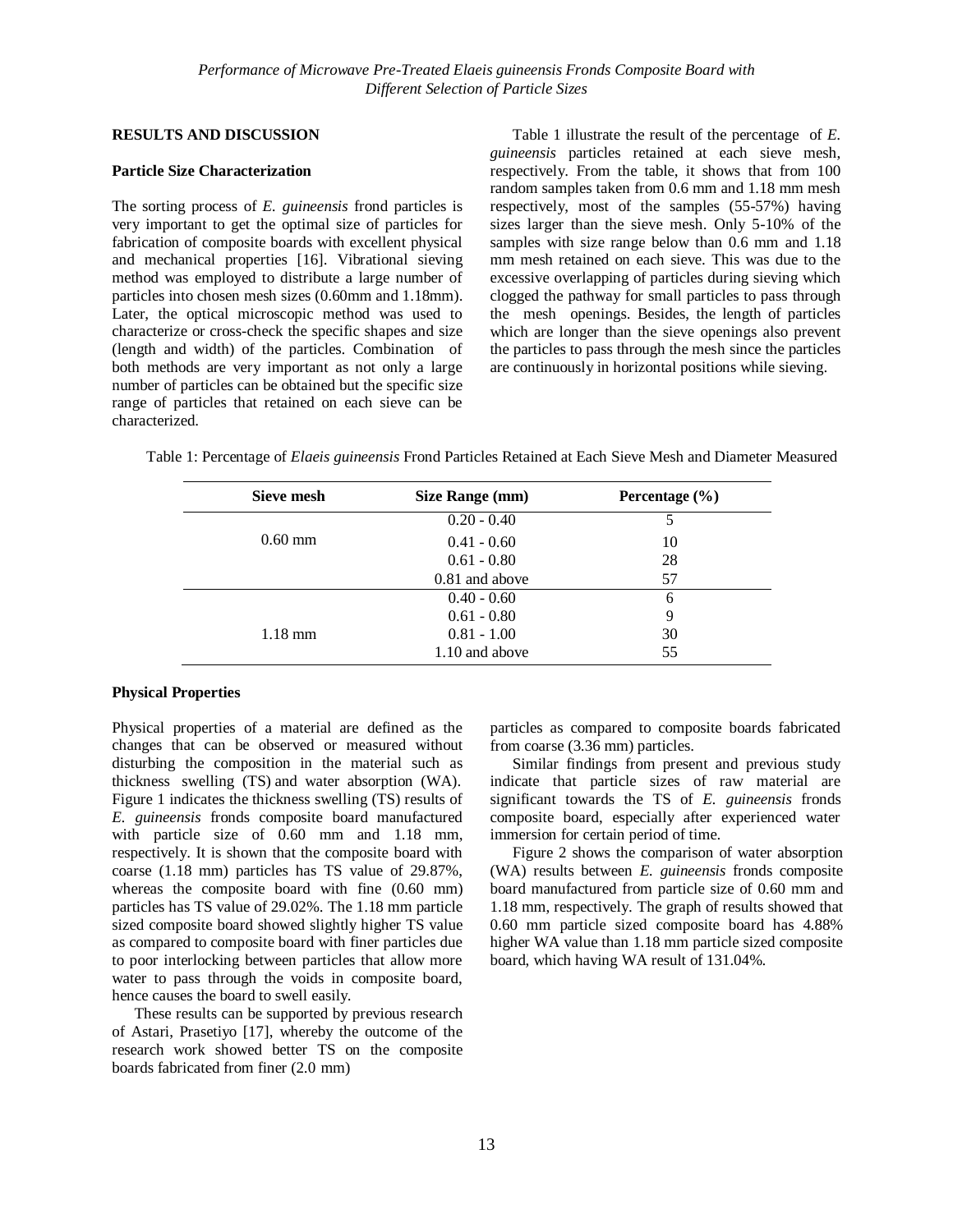#### **RESULTS AND DISCUSSION**

#### **Particle Size Characterization**

The sorting process of *E. guineensis* frond particles is very important to get the optimal size of particles for fabrication of composite boards with excellent physical and mechanical properties [\[16\]](#page-7-2). Vibrational sieving method was employed to distribute a large number of particles into chosen mesh sizes (0.60mm and 1.18mm). Later, the optical microscopic method was used to characterize or cross-check the specific shapes and size (length and width) of the particles. Combination of both methods are very important as not only a large number of particles can be obtained but the specific size range of particles that retained on each sieve can be characterized.

Table 1 illustrate the result of the percentage of *E. guineensis* particles retained at each sieve mesh, respectively. From the table, it shows that from 100 random samples taken from 0.6 mm and 1.18 mm mesh respectively, most of the samples (55-57%) having sizes larger than the sieve mesh. Only 5-10% of the samples with size range below than 0.6 mm and 1.18 mm mesh retained on each sieve. This was due to the excessive overlapping of particles during sieving which clogged the pathway for small particles to pass through the mesh openings. Besides, the length of particles which are longer than the sieve openings also prevent the particles to pass through the mesh since the particles are continuously in horizontal positions while sieving.

| Sieve mesh        | <b>Size Range (mm)</b> | Percentage $(\% )$ |
|-------------------|------------------------|--------------------|
|                   | $0.20 - 0.40$          |                    |
| $0.60$ mm         | $0.41 - 0.60$          | 10                 |
|                   | $0.61 - 0.80$          | 28                 |
|                   | 0.81 and above         | 57                 |
|                   | $0.40 - 0.60$          | 6                  |
|                   | $0.61 - 0.80$          | 9                  |
| $1.18 \text{ mm}$ | $0.81 - 1.00$          | 30                 |
|                   | 1.10 and above         | 55                 |

Table 1: Percentage of *Elaeis guineensis* Frond Particles Retained at Each Sieve Mesh and Diameter Measured

# **Physical Properties**

Physical properties of a material are defined as the changes that can be observed or measured without disturbing the composition in the material such as thickness swelling (TS) and water absorption (WA). Figure 1 indicates the thickness swelling (TS) results of *E. guineensis* fronds composite board manufactured with particle size of 0.60 mm and 1.18 mm, respectively. It is shown that the composite board with coarse (1.18 mm) particles has TS value of 29.87%, whereas the composite board with fine (0.60 mm) particles has TS value of 29.02%. The 1.18 mm particle sized composite board showed slightly higher TS value as compared to composite board with finer particles due to poor interlocking between particles that allow more water to pass through the voids in composite board, hence causes the board to swell easily.

These results can be supported by previous research of [Astari, Prasetiyo \[17\]](#page-7-3), whereby the outcome of the research work showed better TS on the composite boards fabricated from finer (2.0 mm)

particles as compared to composite boards fabricated from coarse (3.36 mm) particles.

Similar findings from present and previous study indicate that particle sizes of raw material are significant towards the TS of *E. guineensis* fronds composite board, especially after experienced water immersion for certain period of time.

Figure 2 shows the comparison of water absorption (WA) results between *E. guineensis* fronds composite board manufactured from particle size of 0.60 mm and 1.18 mm, respectively. The graph of results showed that 0.60 mm particle sized composite board has 4.88% higher WA value than 1.18 mm particle sized composite board, which having WA result of 131.04%.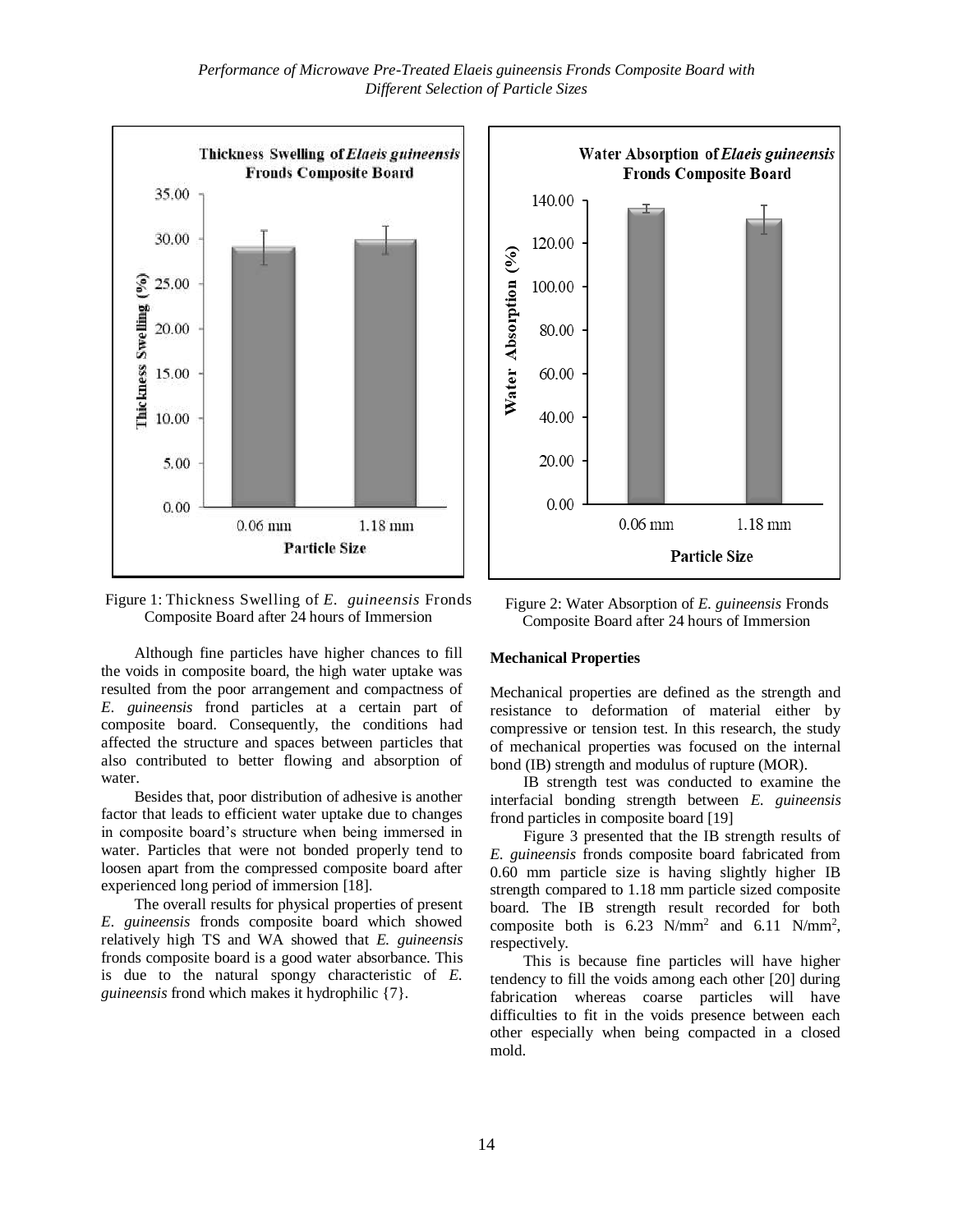

Figure 1: Thickness Swelling of *E. guineensis* Fronds Composite Board after 24 hours of Immersion

Although fine particles have higher chances to fill the voids in composite board, the high water uptake was resulted from the poor arrangement and compactness of *E. guineensis* frond particles at a certain part of composite board. Consequently, the conditions had affected the structure and spaces between particles that also contributed to better flowing and absorption of water.

Besides that, poor distribution of adhesive is another factor that leads to efficient water uptake due to changes in composite board's structure when being immersed in water. Particles that were not bonded properly tend to loosen apart from the compressed composite board after experienced long period of immersion [18].

The overall results for physical properties of present *E. guineensis* fronds composite board which showed relatively high TS and WA showed that *E. guineensis*  fronds composite board is a good water absorbance. This is due to the natural spongy characteristic of *E. guineensis* frond which makes it hydrophilic {7}.



Figure 2: Water Absorption of *E. guineensis* Fronds Composite Board after 24 hours of Immersion

#### **Mechanical Properties**

Mechanical properties are defined as the strength and resistance to deformation of material either by compressive or tension test. In this research, the study of mechanical properties was focused on the internal bond (IB) strength and modulus of rupture (MOR).

IB strength test was conducted to examine the interfacial bonding strength between *E. guineensis*  frond particles in composite board [19]

Figure 3 presented that the IB strength results of *E. guineensis* fronds composite board fabricated from 0.60 mm particle size is having slightly higher IB strength compared to 1.18 mm particle sized composite board. The IB strength result recorded for both composite both is  $6.23$  N/mm<sup>2</sup> and  $6.11$  N/mm<sup>2</sup>, respectively.

This is because fine particles will have higher tendency to fill the voids among each other [20] during fabrication whereas coarse particles will have difficulties to fit in the voids presence between each other especially when being compacted in a closed mold.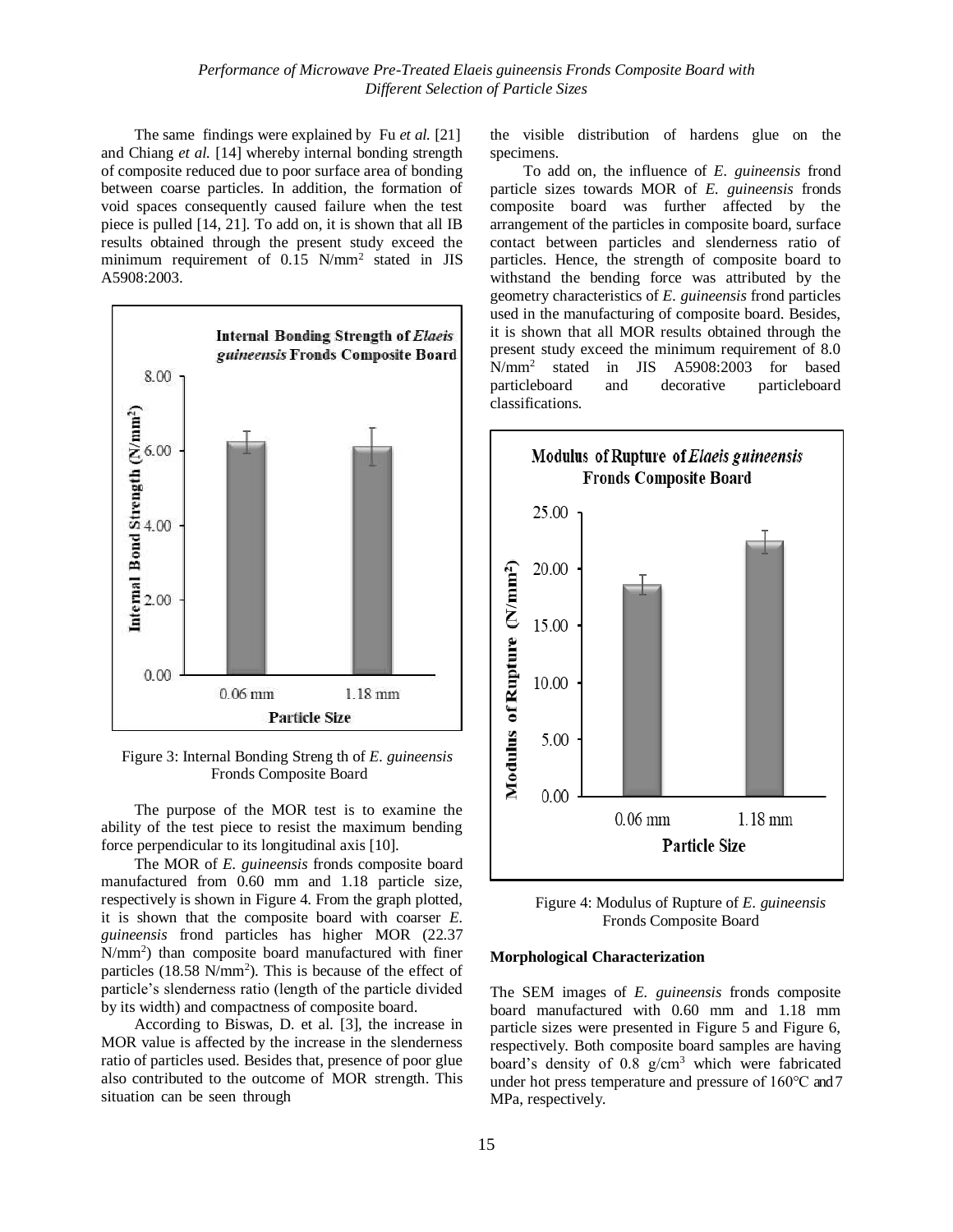The same findings were explained by Fu *et al.* [21] and Chiang *et al.* [14] whereby internal bonding strength of composite reduced due to poor surface area of bonding between coarse particles. In addition, the formation of void spaces consequently caused failure when the test piece is pulled [14, [21\]](#page-7-4). To add on, it is shown that all IB results obtained through the present study exceed the minimum requirement of 0.15 N/mm<sup>2</sup> stated in JIS A5908:2003.



Figure 3: Internal Bonding Streng th of *E. guineensis*  Fronds Composite Board

The purpose of the MOR test is to examine the ability of the test piece to resist the maximum bending force perpendicular to its longitudinal axis [\[10\]](#page-6-1).

The MOR of *E. guineensis* fronds composite board manufactured from 0.60 mm and 1.18 particle size, respectively is shown in Figure 4. From the graph plotted, it is shown that the composite board with coarser *E. guineensis* frond particles has higher MOR (22.37 N/mm<sup>2</sup> ) than composite board manufactured with finer particles (18.58 N/mm<sup>2</sup>). This is because of the effect of particle's slenderness ratio (length of the particle divided by its width) and compactness of composite board.

According to Biswas, D. et al. [\[3\]](#page-7-5), the increase in MOR value is affected by the increase in the slenderness ratio of particles used. Besides that, presence of poor glue also contributed to the outcome of MOR strength. This situation can be seen through

the visible distribution of hardens glue on the specimens.

To add on, the influence of *E. guineensis* frond particle sizes towards MOR of *E. guineensis* fronds composite board was further affected by the arrangement of the particles in composite board, surface contact between particles and slenderness ratio of particles. Hence, the strength of composite board to withstand the bending force was attributed by the geometry characteristics of *E. guineensis* frond particles used in the manufacturing of composite board. Besides, it is shown that all MOR results obtained through the present study exceed the minimum requirement of 8.0  $N/mm^2$ stated in JIS A5908:2003 for based particleboard and decorative particleboard classifications.



Figure 4: Modulus of Rupture of *E. guineensis* Fronds Composite Board

# **Morphological Characterization**

The SEM images of *E. guineensis* fronds composite board manufactured with 0.60 mm and 1.18 mm particle sizes were presented in Figure 5 and Figure 6, respectively. Both composite board samples are having board's density of 0.8 g/cm<sup>3</sup> which were fabricated under hot press temperature and pressure of 160℃ and 7 MPa, respectively.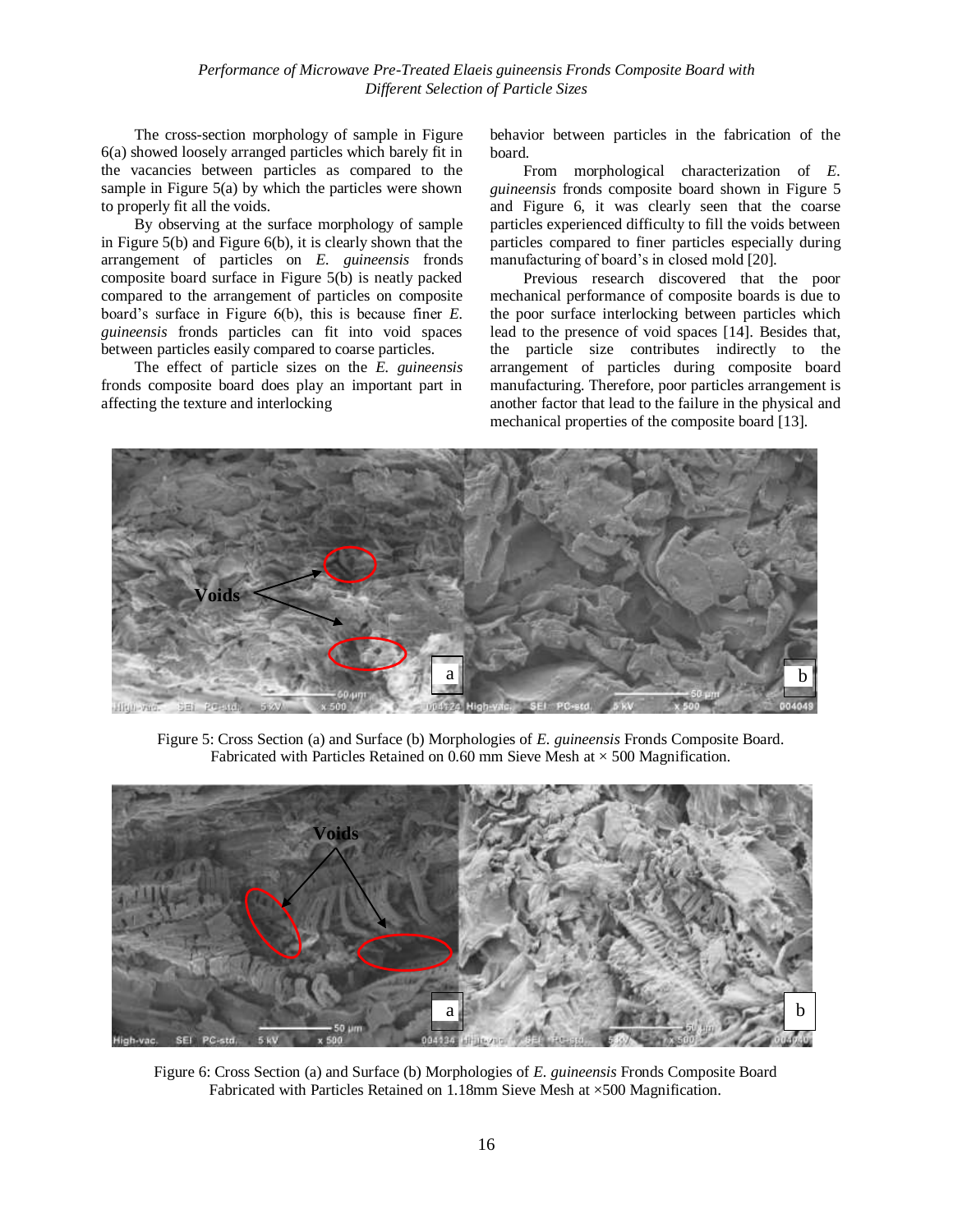The cross-section morphology of sample in Figure 6(a) showed loosely arranged particles which barely fit in the vacancies between particles as compared to the sample in Figure 5(a) by which the particles were shown to properly fit all the voids.

By observing at the surface morphology of sample in Figure 5(b) and Figure 6(b), it is clearly shown that the arrangement of particles on *E. guineensis* fronds composite board surface in Figure 5(b) is neatly packed compared to the arrangement of particles on composite board's surface in Figure 6(b), this is because finer *E. guineensis* fronds particles can fit into void spaces between particles easily compared to coarse particles.

The effect of particle sizes on the *E. guineensis*  fronds composite board does play an important part in affecting the texture and interlocking

behavior between particles in the fabrication of the board.

From morphological characterization of *E. guineensis* fronds composite board shown in Figure 5 and Figure 6, it was clearly seen that the coarse particles experienced difficulty to fill the voids between particles compared to finer particles especially during manufacturing of board's in closed mold [20].

Previous research discovered that the poor mechanical performance of composite boards is due to the poor surface interlocking between particles which lead to the presence of void spaces [14]. Besides that, the particle size contributes indirectly to the arrangement of particles during composite board manufacturing. Therefore, poor particles arrangement is another factor that lead to the failure in the physical and mechanical properties of the composite board [13].



Figure 5: Cross Section (a) and Surface (b) Morphologies of *E. guineensis* Fronds Composite Board. Fabricated with Particles Retained on  $0.60$  mm Sieve Mesh at  $\times 500$  Magnification.



Figure 6: Cross Section (a) and Surface (b) Morphologies of *E. guineensis* Fronds Composite Board Fabricated with Particles Retained on 1.18mm Sieve Mesh at ×500 Magnification.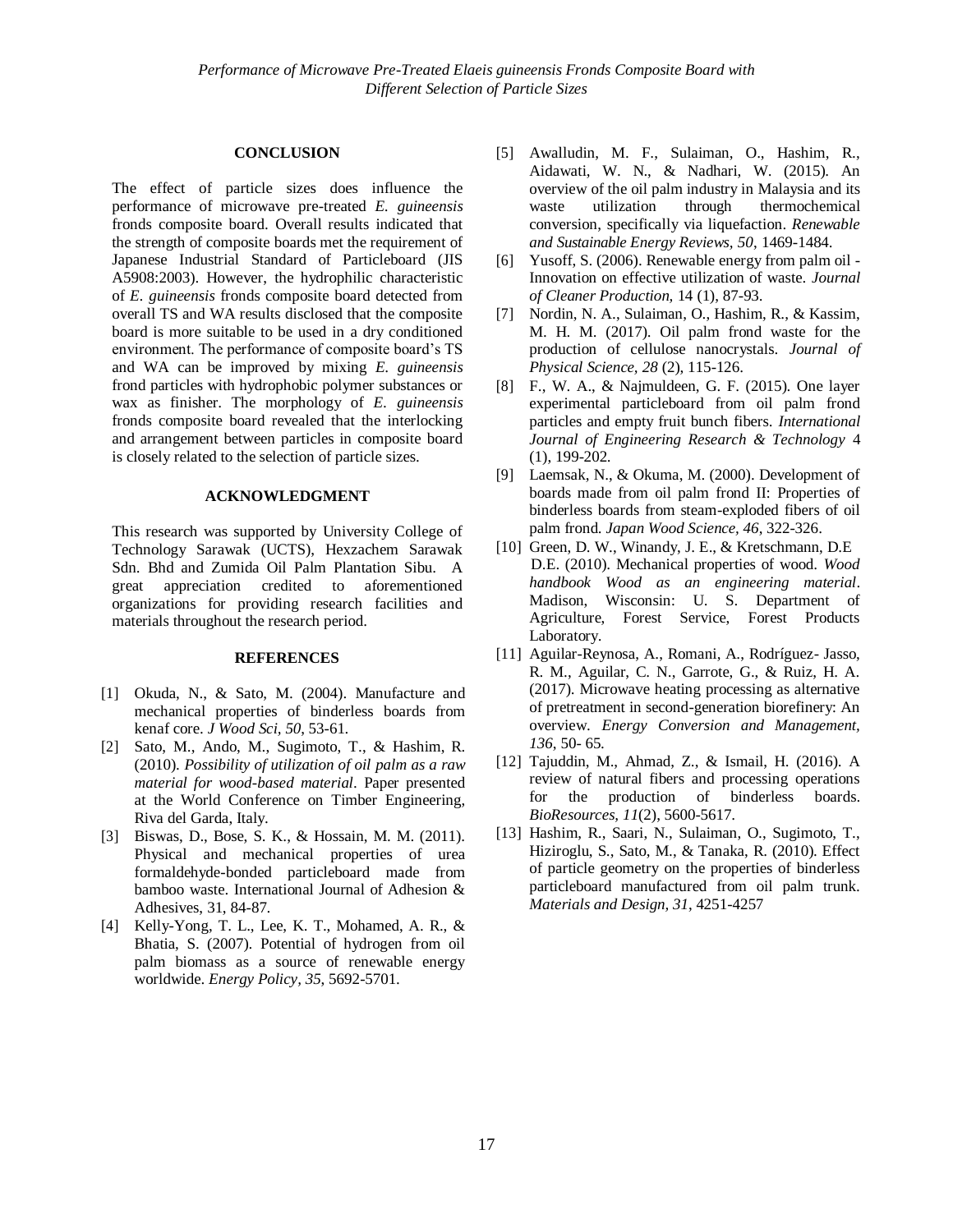# **CONCLUSION**

The effect of particle sizes does influence the performance of microwave pre-treated *E. guineensis* fronds composite board. Overall results indicated that the strength of composite boards met the requirement of Japanese Industrial Standard of Particleboard (JIS A5908:2003). However, the hydrophilic characteristic of *E. guineensis* fronds composite board detected from overall TS and WA results disclosed that the composite board is more suitable to be used in a dry conditioned environment. The performance of composite board's TS and WA can be improved by mixing *E. guineensis*  frond particles with hydrophobic polymer substances or wax as finisher. The morphology of *E. guineensis*  fronds composite board revealed that the interlocking and arrangement between particles in composite board is closely related to the selection of particle sizes.

#### **ACKNOWLEDGMENT**

This research was supported by University College of Technology Sarawak (UCTS), Hexzachem Sarawak Sdn. Bhd and Zumida Oil Palm Plantation Sibu. A great appreciation credited to aforementioned organizations for providing research facilities and materials throughout the research period.

#### **REFERENCES**

- [1] Okuda, N., & Sato, M. (2004). Manufacture and mechanical properties of binderless boards from kenaf core. *J Wood Sci, 50*, 53-61.
- [2] Sato, M., Ando, M., Sugimoto, T., & Hashim, R. (2010). *Possibility of utilization of oil palm as a raw material for wood-based material*. Paper presented at the World Conference on Timber Engineering, Riva del Garda, Italy.
- [3] Biswas, D., Bose, S. K., & Hossain, M. M. (2011). Physical and mechanical properties of urea formaldehyde-bonded particleboard made from bamboo waste. International Journal of Adhesion & Adhesives, 31, 84-87.
- [4] Kelly-Yong, T. L., Lee, K. T., Mohamed, A. R., & Bhatia, S. (2007). Potential of hydrogen from oil palm biomass as a source of renewable energy worldwide. *Energy Policy, 35*, 5692-5701.
- [5] Awalludin, M. F., Sulaiman, O., Hashim, R., Aidawati, W. N., & Nadhari, W. (2015). An overview of the oil palm industry in Malaysia and its waste utilization through thermochemical conversion, specifically via liquefaction. *Renewable and Sustainable Energy Reviews, 50*, 1469-1484.
- [6] Yusoff, S. (2006). Renewable energy from palm oil -Innovation on effective utilization of waste. *Journal of Cleaner Production,* 14 (1), 87-93.
- [7] Nordin, N. A., Sulaiman, O., Hashim, R., & Kassim, M. H. M. (2017). Oil palm frond waste for the production of cellulose nanocrystals. *Journal of Physical Science, 28* (2), 115-126.
- [8] F., W. A., & Najmuldeen, G. F. (2015). One layer experimental particleboard from oil palm frond particles and empty fruit bunch fibers. *International Journal of Engineering Research & Technology* 4 (1), 199-202.
- [9] Laemsak, N., & Okuma, M. (2000). Development of boards made from oil palm frond II: Properties of binderless boards from steam-exploded fibers of oil palm frond. *Japan Wood Science, 46*, 322-326.
- <span id="page-6-1"></span>[10] Green, D. W., Winandy, J. E., & Kretschmann, D.E D.E. (2010). Mechanical properties of wood. *Wood handbook Wood as an engineering material*. Madison, Wisconsin: U. S. Department of Agriculture, Forest Service, Forest Products Laboratory.
- <span id="page-6-0"></span>[11] Aguilar-Reynosa, A., Romani, A., Rodríguez- Jasso, R. M., Aguilar, C. N., Garrote, G., & Ruiz, H. A. (2017). Microwave heating processing as alternative of pretreatment in second-generation biorefinery: An overview. *Energy Conversion and Management, 136*, 50- 65.
- [12] Tajuddin, M., Ahmad, Z., & Ismail, H. (2016). A review of natural fibers and processing operations for the production of binderless boards. *BioResources, 11*(2), 5600-5617.
- [13] Hashim, R., Saari, N., Sulaiman, O., Sugimoto, T., Hiziroglu, S., Sato, M., & Tanaka, R. (2010). Effect of particle geometry on the properties of binderless particleboard manufactured from oil palm trunk. *Materials and Design, 31*, 4251-4257